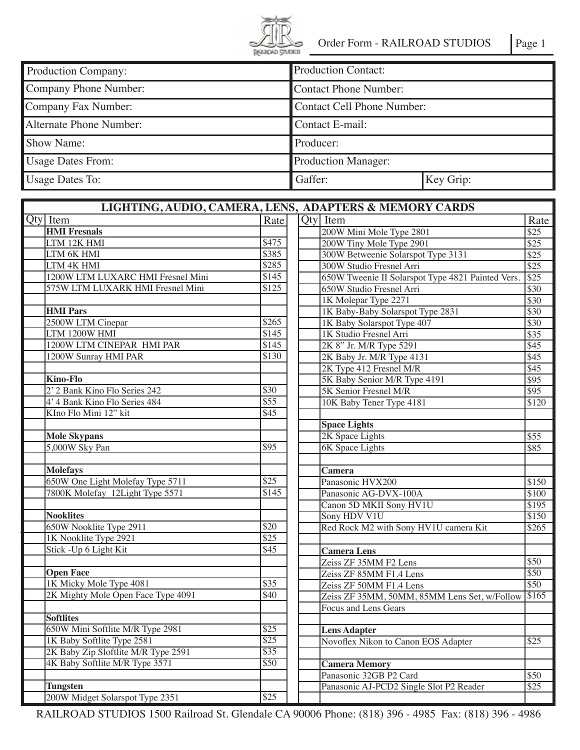

| Production Company:      | <b>Production Contact:</b>   |           |
|--------------------------|------------------------------|-----------|
| Company Phone Number:    | <b>Contact Phone Number:</b> |           |
| Company Fax Number:      | Contact Cell Phone Number:   |           |
| Alternate Phone Number:  | Contact E-mail:              |           |
| Show Name:               | Producer:                    |           |
| <b>Usage Dates From:</b> | <b>Production Manager:</b>   |           |
| <b>Usage Dates To:</b>   | Gaffer:                      | Key Grip: |

| LIGHTING, AUDIO, CAMERA, LENS, ADAPTERS & MEMORY CARDS |                                     |                   |                                                   |                  |  |  |  |  |  |
|--------------------------------------------------------|-------------------------------------|-------------------|---------------------------------------------------|------------------|--|--|--|--|--|
| Qty Item                                               |                                     | Rate              | Qty Item                                          | Rate             |  |  |  |  |  |
| <b>HMI</b> Fresnals                                    |                                     |                   | 200W Mini Mole Type 2801                          | $\overline{$25}$ |  |  |  |  |  |
| LTM 12K HMI                                            |                                     | \$475             | 200W Tiny Mole Type 2901                          | $\overline{$25}$ |  |  |  |  |  |
| LTM 6K HMI                                             |                                     | \$385             | 300W Betweenie Solarspot Type 3131                | $\overline{$25}$ |  |  |  |  |  |
| LTM 4K HMI                                             |                                     | \$285             | 300W Studio Fresnel Arri                          | $\overline{$25}$ |  |  |  |  |  |
|                                                        | 1200W LTM LUXARC HMI Fresnel Mini   | \$145             | 650W Tweenie II Solarspot Type 4821 Painted Vers. | $\overline{$}25$ |  |  |  |  |  |
|                                                        | 575W LTM LUXARK HMI Fresnel Mini    | $\overline{$125}$ | 650W Studio Fresnel Arri                          | \$30             |  |  |  |  |  |
|                                                        |                                     |                   | 1K Molepar Type 2271                              | \$30             |  |  |  |  |  |
| <b>HMI</b> Pars                                        |                                     |                   | 1K Baby-Baby Solarspot Type 2831                  | \$30             |  |  |  |  |  |
|                                                        | 2500W LTM Cinepar                   | \$265             | 1K Baby Solarspot Type 407                        | \$30             |  |  |  |  |  |
| LTM 1200W HMI                                          |                                     | \$145             | 1K Studio Fresnel Arri                            | \$35             |  |  |  |  |  |
|                                                        | 1200W LTM CINEPAR HMI PAR           | \$145             | 2K 8" Jr. M/R Type 5291                           | \$45             |  |  |  |  |  |
|                                                        | 1200W Sunray HMI PAR                | \$130             | 2K Baby Jr. M/R Type 4131                         | \$45             |  |  |  |  |  |
|                                                        |                                     |                   | 2K Type 412 Fresnel M/R                           | \$45             |  |  |  |  |  |
| <b>Kino-Flo</b>                                        |                                     |                   | 5K Baby Senior M/R Type 4191                      | \$95             |  |  |  |  |  |
|                                                        | 2' 2 Bank Kino Flo Series 242       | \$30              | 5K Senior Fresnel M/R                             | $\overline{$95}$ |  |  |  |  |  |
|                                                        | 4' 4 Bank Kino Flo Series 484       | \$55              | 10K Baby Tener Type 4181                          | \$120            |  |  |  |  |  |
|                                                        | KIno Flo Mini 12" kit               | \$45              |                                                   |                  |  |  |  |  |  |
|                                                        |                                     |                   | <b>Space Lights</b>                               |                  |  |  |  |  |  |
| <b>Mole Skypans</b>                                    |                                     |                   | 2K Space Lights                                   | \$55             |  |  |  |  |  |
| 5,000W Sky Pan                                         |                                     | \$95              | <b>6K</b> Space Lights                            | \$85             |  |  |  |  |  |
|                                                        |                                     |                   |                                                   |                  |  |  |  |  |  |
| <b>Molefays</b>                                        |                                     |                   | Camera                                            |                  |  |  |  |  |  |
|                                                        | 650W One Light Molefay Type 5711    | \$25              | Panasonic HVX200                                  | \$150            |  |  |  |  |  |
|                                                        | 7800K Molefay 12Light Type 5571     | \$145             | Panasonic AG-DVX-100A                             | \$100            |  |  |  |  |  |
|                                                        |                                     |                   | Canon 5D MKII Sony HV1U                           | \$195            |  |  |  |  |  |
| <b>Nooklites</b>                                       |                                     |                   | Sony HDV V1U                                      | \$150            |  |  |  |  |  |
|                                                        | 650W Nooklite Type 2911             | \$20              | Red Rock M2 with Sony HV1U camera Kit             | \$265            |  |  |  |  |  |
|                                                        | 1K Nooklite Type 2921               | $\overline{$25}$  |                                                   |                  |  |  |  |  |  |
|                                                        | Stick - Up 6 Light Kit              | \$45              | <b>Camera Lens</b>                                |                  |  |  |  |  |  |
|                                                        |                                     |                   | Zeiss ZF 35MM F2 Lens                             | \$50             |  |  |  |  |  |
| <b>Open Face</b>                                       |                                     |                   | Zeiss ZF 85MM F1.4 Lens                           | \$50             |  |  |  |  |  |
|                                                        | 1K Micky Mole Type 4081             | \$35              | Zeiss ZF 50MM F1.4 Lens                           | $\overline{$}50$ |  |  |  |  |  |
|                                                        | 2K Mighty Mole Open Face Type 4091  | \$40              | Zeiss ZF 35MM, 50MM, 85MM Lens Set, w/Follow      | $\frac{1}{165}$  |  |  |  |  |  |
|                                                        |                                     |                   | Focus and Lens Gears                              |                  |  |  |  |  |  |
| <b>Softlites</b>                                       |                                     |                   |                                                   |                  |  |  |  |  |  |
|                                                        | 650W Mini Softlite M/R Type 2981    | \$25              | <b>Lens Adapter</b>                               |                  |  |  |  |  |  |
|                                                        | 1K Baby Softlite Type 2581          | \$25              | Novoflex Nikon to Canon EOS Adapter               | $\overline{$25}$ |  |  |  |  |  |
|                                                        | 2K Baby Zip Sloftlite M/R Type 2591 | \$35              |                                                   |                  |  |  |  |  |  |
|                                                        | 4K Baby Softlite M/R Type 3571      | \$50              | <b>Camera Memory</b>                              |                  |  |  |  |  |  |
|                                                        |                                     |                   | Panasonic 32GB P2 Card                            | \$50             |  |  |  |  |  |
| <b>Tungsten</b>                                        |                                     |                   | Panasonic AJ-PCD2 Single Slot P2 Reader           | \$25             |  |  |  |  |  |
|                                                        | 200W Midget Solarspot Type 2351     | \$25              |                                                   |                  |  |  |  |  |  |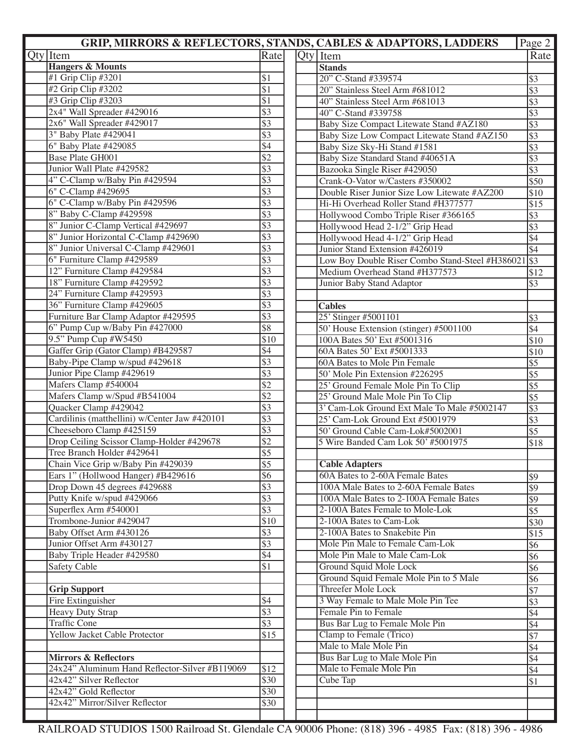|                                                |                  |  | <b>GRIP, MIRRORS &amp; REFLECTORS, STANDS, CABLES &amp; ADAPTORS, LADDERS</b> | Page 2           |
|------------------------------------------------|------------------|--|-------------------------------------------------------------------------------|------------------|
| $Q$ ty   Item                                  | Rate             |  | $Qty$ Item                                                                    | Rate             |
| <b>Hangers &amp; Mounts</b>                    |                  |  | <b>Stands</b>                                                                 |                  |
| #1 Grip Clip #3201                             | \$1              |  | 20" C-Stand #339574                                                           | \$3              |
| #2 Grip Clip #3202                             | \$1              |  | 20" Stainless Steel Arm #681012                                               | $\overline{\$3}$ |
| #3 Grip Clip #3203                             | $\overline{\$1}$ |  | 40" Stainless Steel Arm #681013                                               | $\overline{\$3}$ |
| 2x4" Wall Spreader #429016                     | $\overline{$3}$  |  | 40" C-Stand #339758                                                           | $\overline{\$3}$ |
| 2x6" Wall Spreader #429017                     | $\overline{$3}$  |  | Baby Size Compact Litewate Stand #AZ180                                       | $\overline{\$3}$ |
| 3" Baby Plate #429041                          | $\overline{$3}$  |  | Baby Size Low Compact Litewate Stand #AZ150                                   | $\overline{\$3}$ |
| 6" Baby Plate #429085                          | \$4              |  | Baby Size Sky-Hi Stand #1581                                                  | $\overline{\$3}$ |
| Base Plate GH001                               | $\overline{$}2$  |  | Baby Size Standard Stand #40651A                                              | $\overline{\$3}$ |
| Junior Wall Plate #429582                      | $\overline{$3}$  |  | Bazooka Single Riser #429050                                                  | $\overline{$3}$  |
| 4" C-Clamp w/Baby Pin #429594                  | $\overline{$3}$  |  | Crank-O-Vator w/Casters #350002                                               | \$50             |
| 6" C-Clamp #429695                             | $\overline{$3}$  |  | Double Riser Junior Size Low Litewate #AZ200                                  | \$10             |
| 6" C-Clamp w/Baby Pin #429596                  | $\overline{$3}$  |  | Hi-Hi Overhead Roller Stand #H377577                                          | \$15             |
| 8" Baby C-Clamp #429598                        | $\overline{$3}$  |  | Hollywood Combo Triple Riser #366165                                          | $\overline{$3}$  |
| 8" Junior C-Clamp Vertical #429697             | $\overline{$3}$  |  | Hollywood Head 2-1/2" Grip Head                                               | $\overline{$3}$  |
| 8" Junior Horizontal C-Clamp #429690           | $\overline{$3}$  |  | Hollywood Head 4-1/2" Grip Head                                               | $\overline{$4}$  |
| 8" Junior Universal C-Clamp #429601            | $\overline{$3}$  |  | Junior Stand Extension #426019                                                | $\overline{\$4}$ |
| 6" Furniture Clamp #429589                     | $\overline{$3}$  |  | Low Boy Double Riser Combo Stand-Steel #H386021                               | $\sqrt{$3}$      |
| 12" Furniture Clamp #429584                    | $\overline{$3}$  |  | Medium Overhead Stand #H377573                                                | \$12             |
| 18" Furniture Clamp #429592                    | $\overline{$3}$  |  | Junior Baby Stand Adaptor                                                     | $\sqrt{$3}$      |
| 24" Furniture Clamp #429593                    | $\overline{$3}$  |  |                                                                               |                  |
| 36" Furniture Clamp #429605                    | $\overline{$3}$  |  | <b>Cables</b>                                                                 |                  |
| Furniture Bar Clamp Adaptor #429595            | $\overline{$3}$  |  | 25' Stinger #5001101                                                          | $\overline{\$3}$ |
| 6" Pump Cup w/Baby Pin #427000                 | \$8              |  | 50' House Extension (stinger) #5001100                                        | \$4              |
| 9.5" Pump Cup #W5450                           | \$10             |  | 100A Bates 50' Ext #5001316                                                   | \$10             |
| Gaffer Grip (Gator Clamp) #B429587             | \$4              |  | 60A Bates 50' Ext #5001333                                                    | \$10             |
| Baby-Pipe Clamp w/spud #429618                 | $\overline{$3}$  |  | 60A Bates to Mole Pin Female                                                  | $\overline{$}5$  |
| Junior Pipe Clamp #429619                      | $\overline{$3}$  |  | 50' Mole Pin Extension #226295                                                | \$5              |
| Mafers Clamp #540004                           | $\overline{$}2$  |  | 25' Ground Female Mole Pin To Clip                                            | $\overline{\$5}$ |
| Mafers Clamp w/Spud #B541004                   | $\overline{$}2$  |  | 25' Ground Male Mole Pin To Clip                                              | $\overline{\$5}$ |
| Quacker Clamp #429042                          | $\overline{$3}$  |  | 3' Cam-Lok Ground Ext Male To Male #5002147                                   | $\overline{\$3}$ |
| Cardilinis (matthellini) w/Center Jaw #420101  | $\overline{$3}$  |  | 25' Cam-Lok Ground Ext #5001979                                               | \$3              |
| Cheeseboro Clamp #425159                       | $\overline{$3}$  |  | 50' Ground Cable Cam-Lok#5002001                                              | $\overline{\$5}$ |
| Drop Ceiling Scissor Clamp-Holder #429678      | $\overline{$}$ 2 |  | 5 Wire Banded Cam Lok 50' #5001975                                            | \$18             |
| Tree Branch Holder #429641                     | $\overline{$}5$  |  |                                                                               |                  |
| Chain Vice Grip w/Baby Pin #429039             | \$5              |  | <b>Cable Adapters</b>                                                         |                  |
| Ears 1" (Hollwood Hanger) #B429616             | \$6              |  | 60A Bates to 2-60A Female Bates                                               | \$9              |
| Drop Down 45 degrees #429688                   | \$3              |  | 100A Male Bates to 2-60A Female Bates                                         | $\overline{\$9}$ |
| Putty Knife w/spud #429066                     | $\overline{$3}$  |  | 100A Male Bates to 2-100A Female Bates                                        | $\overline{\$9}$ |
| Superflex Arm #540001                          | $\overline{$3}$  |  | 2-100A Bates Female to Mole-Lok                                               | $\overline{\$5}$ |
| Trombone-Junior #429047                        | \$10             |  | 2-100A Bates to Cam-Lok                                                       | \$30             |
| Baby Offset Arm #430126                        | \$3              |  | 2-100A Bates to Snakebite Pin                                                 | \$15             |
| Junior Offset Arm #430127                      | \$3              |  | Mole Pin Male to Female Cam-Lok                                               | \$6              |
| Baby Triple Header #429580                     | \$4              |  | Mole Pin Male to Male Cam-Lok                                                 | $\overline{\$6}$ |
| Safety Cable                                   | \$1              |  | Ground Squid Mole Lock                                                        | $\overline{$6}$  |
|                                                |                  |  | Ground Squid Female Mole Pin to 5 Male                                        | $\overline{$6}$  |
| <b>Grip Support</b>                            |                  |  | Threefer Mole Lock                                                            | $\sqrt{57}$      |
| Fire Extinguisher                              | \$4              |  | 3 Way Female to Male Mole Pin Tee                                             | $\sqrt{$3}$      |
| Heavy Duty Strap                               | $\overline{$3}$  |  | Female Pin to Female                                                          | \$4              |
| <b>Traffic Cone</b>                            | \$3              |  | Bus Bar Lug to Female Mole Pin                                                | \$4              |
| Yellow Jacket Cable Protector                  | \$15             |  | Clamp to Female (Trico)                                                       | $\sqrt{57}$      |
|                                                |                  |  | Male to Male Mole Pin                                                         | \$4              |
| <b>Mirrors &amp; Reflectors</b>                |                  |  | Bus Bar Lug to Male Mole Pin                                                  | \$4              |
| 24x24" Aluminum Hand Reflector-Silver #B119069 | \$12             |  | Male to Female Mole Pin                                                       |                  |
| 42x42" Silver Reflector                        | \$30             |  | Cube Tap                                                                      | \$4              |
| 42x42" Gold Reflector                          | \$30             |  |                                                                               | \$1              |
| 42x42" Mirror/Silver Reflector                 | \$30             |  |                                                                               |                  |
|                                                |                  |  |                                                                               |                  |
|                                                |                  |  |                                                                               |                  |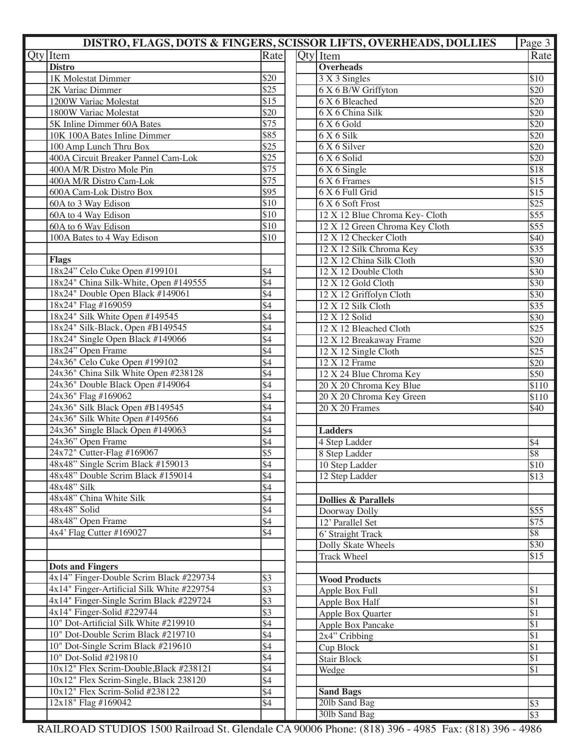|                                            |                  | DISTRO, FLAGS, DOTS & FINGERS, SCISSOR LIFTS, OVERHEADS, DOLLIES | Page 3            |
|--------------------------------------------|------------------|------------------------------------------------------------------|-------------------|
| <b>Qty</b> Item                            | Rate             | $ Qty $ Item                                                     | Rate              |
| <b>Distro</b>                              |                  | <b>Overheads</b>                                                 |                   |
| 1K Molestat Dimmer                         | \$20             | 3 X 3 Singles                                                    | $\sqrt{$10}$      |
| 2K Variac Dimmer                           | \$25             | 6 X 6 B/W Griffyton                                              | $\overline{$}20$  |
| 1200W Variac Molestat                      | \$15             | 6 X 6 Bleached                                                   | $\overline{$}20$  |
| 1800W Variac Molestat                      | \$20             | 6 X 6 China Silk                                                 | $\overline{$}20$  |
| 5K Inline Dimmer 60A Bates                 | $\overline{$}75$ | 6X6Gold                                                          | $\overline{$}20$  |
| 10K 100A Bates Inline Dimmer               | \$85             | $6X6$ Silk                                                       | $\overline{$}20$  |
| 100 Amp Lunch Thru Box                     | \$25             | 6 X 6 Silver                                                     | $\overline{$}20$  |
| 400A Circuit Breaker Pannel Cam-Lok        | \$25             | 6 X 6 Solid                                                      | $\overline{$}20$  |
| 400A M/R Distro Mole Pin                   | \$75             | 6 X 6 Single                                                     | $\overline{$18}$  |
| 400A M/R Distro Cam-Lok                    | \$75             | 6 X 6 Frames                                                     | $\overline{$15}$  |
| 600A Cam-Lok Distro Box                    | \$95             | 6 X 6 Full Grid                                                  | $\overline{$15}$  |
| 60A to 3 Way Edison                        | \$10             | 6 X 6 Soft Frost                                                 | $\overline{$}25$  |
| 60A to 4 Way Edison                        | \$10             | 12 X 12 Blue Chroma Key- Cloth                                   | $\overline{\$55}$ |
| 60A to 6 Way Edison                        | \$10             | 12 X 12 Green Chroma Key Cloth                                   | $\overline{\$55}$ |
| 100A Bates to 4 Way Edison                 | \$10             | 12 X 12 Checker Cloth                                            | \$40              |
|                                            |                  | 12 X 12 Silk Chroma Key                                          | $\sqrt{$35}$      |
|                                            |                  |                                                                  |                   |
| <b>Flags</b>                               |                  | 12 X 12 China Silk Cloth                                         | $\overline{$}30$  |
| 18x24" Celo Cuke Open #199101              | \$4              | 12 X 12 Double Cloth                                             | \$30              |
| 18x24" China Silk-White, Open #149555      | \$4              | 12 X 12 Gold Cloth                                               | $\overline{$}30$  |
| 18x24" Double Open Black #149061           | \$4              | 12 X 12 Griffolyn Cloth                                          | \$30              |
| 18x24" Flag #169059                        | \$4              | 12 X 12 Silk Cloth                                               | $\sqrt{$35}$      |
| 18x24" Silk White Open #149545             | \$4              | 12 X 12 Solid                                                    | \$30              |
| 18x24" Silk-Black, Open #B149545           | $\overline{$4}$  | 12 X 12 Bleached Cloth                                           | $\overline{$}25$  |
| 18x24" Single Open Black #149066           | \$4              | 12 X 12 Breakaway Frame                                          | $\overline{$}20$  |
| 18x24" Open Frame                          | \$4              | 12 X 12 Single Cloth                                             | $\overline{$}25$  |
| 24x36" Celo Cuke Open #199102              | \$4              | 12 X 12 Frame                                                    | \$20              |
| 24x36" China Silk White Open #238128       | \$4              | 12 X 24 Blue Chroma Key                                          | \$50              |
| 24x36" Double Black Open #149064           | \$4              | 20 X 20 Chroma Key Blue                                          | \$110             |
| 24x36" Flag #169062                        | \$4              | 20 X 20 Chroma Key Green                                         | \$110             |
| 24x36" Silk Black Open #B149545            | \$4              | 20 X 20 Frames                                                   | \$40              |
| 24x36" Silk White Open #149566             | \$4              |                                                                  |                   |
| 24x36" Single Black Open #149063           | \$4              | <b>Ladders</b>                                                   |                   |
| 24x36" Open Frame                          | \$4              | 4 Step Ladder                                                    | $\sqrt{$4}$       |
| 24x72" Cutter-Flag #169067                 | $\overline{$5}$  | 8 Step Ladder                                                    | \$8               |
| 48x48" Single Scrim Black #159013          | \$4              | 10 Step Ladder                                                   | \$10              |
| 48x48" Double Scrim Black #159014          | $\overline{$4}$  | 12 Step Ladder                                                   | $\overline{$13}$  |
| 48x48" Silk                                | \$4              |                                                                  |                   |
| 48x48" China White Silk                    | \$4              | <b>Dollies &amp; Parallels</b>                                   |                   |
| 48x48" Solid                               | \$4              | Doorway Dolly                                                    | \$55              |
| 48x48" Open Frame                          | \$4              | 12' Parallel Set                                                 | $\overline{$}75$  |
| 4x4' Flag Cutter #169027                   | $\overline{$4}$  | 6' Straight Track                                                | \$8               |
|                                            |                  | Dolly Skate Wheels                                               | $\sqrt{$30}$      |
|                                            |                  | <b>Track Wheel</b>                                               | $\overline{\$15}$ |
| <b>Dots and Fingers</b>                    |                  |                                                                  |                   |
| 4x14" Finger-Double Scrim Black #229734    | \$3              | <b>Wood Products</b>                                             |                   |
| 4x14" Finger-Artificial Silk White #229754 | $\overline{$3}$  | Apple Box Full                                                   | $\vert$ \$1       |
| 4x14" Finger-Single Scrim Black #229724    | \$3              | Apple Box Half                                                   | $\overline{\$1}$  |
| 4x14" Finger-Solid #229744                 | \$3              | Apple Box Quarter                                                | $\overline{\$1}$  |
| 10" Dot-Artificial Silk White #219910      | $\overline{$4}$  | Apple Box Pancake                                                | $\overline{\$1}$  |
| 10" Dot-Double Scrim Black #219710         | $\overline{$4}$  | $2x4$ " Cribbing                                                 | $\overline{\$1}$  |
| 10" Dot-Single Scrim Black #219610         | $\overline{$4}$  | Cup Block                                                        | $\overline{\$1}$  |
| 10" Dot-Solid #219810                      | $\overline{$4}$  | <b>Stair Block</b>                                               | $\sqrt{31}$       |
| 10x12" Flex Scrim-Double, Black #238121    | $\overline{$4}$  | Wedge                                                            | $\overline{\$1}$  |
| 10x12" Flex Scrim-Single, Black 238120     | \$4              |                                                                  |                   |
| 10x12" Flex Scrim-Solid #238122            | $\sqrt{4}$       | <b>Sand Bags</b>                                                 |                   |
| 12x18" Flag #169042                        | $\sqrt{4}$       | 201b Sand Bag                                                    | $\frac{1}{3}$     |
|                                            |                  | 30lb Sand Bag                                                    | $\overline{\$3}$  |
|                                            |                  |                                                                  |                   |